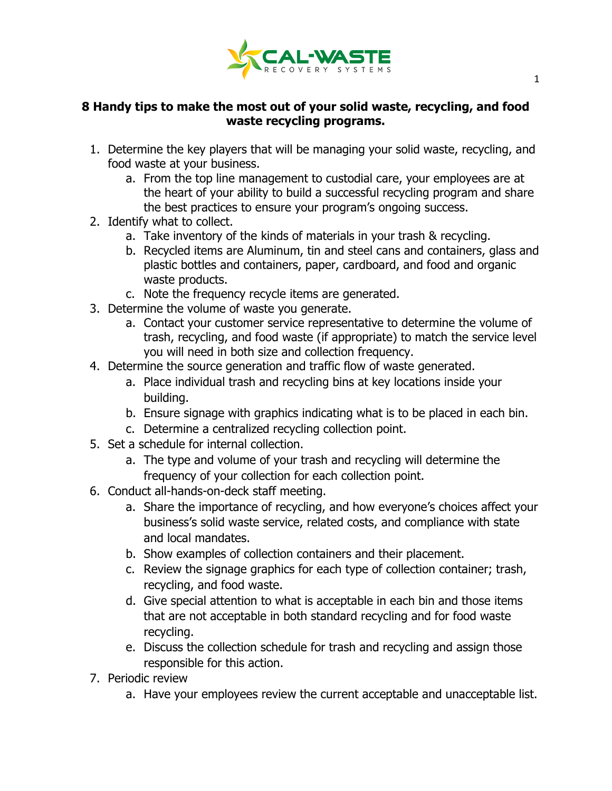

## **8 Handy tips to make the most out of your solid waste, recycling, and food waste recycling programs.**

- 1. Determine the key players that will be managing your solid waste, recycling, and food waste at your business.
	- a. From the top line management to custodial care, your employees are at the heart of your ability to build a successful recycling program and share the best practices to ensure your program's ongoing success.
- 2. Identify what to collect.
	- a. Take inventory of the kinds of materials in your trash & recycling.
	- b. Recycled items are Aluminum, tin and steel cans and containers, glass and plastic bottles and containers, paper, cardboard, and food and organic waste products.
	- c. Note the frequency recycle items are generated.
- 3. Determine the volume of waste you generate.
	- a. Contact your customer service representative to determine the volume of trash, recycling, and food waste (if appropriate) to match the service level you will need in both size and collection frequency.
- 4. Determine the source generation and traffic flow of waste generated.
	- a. Place individual trash and recycling bins at key locations inside your building.
	- b. Ensure signage with graphics indicating what is to be placed in each bin.
	- c. Determine a centralized recycling collection point.
- 5. Set a schedule for internal collection.
	- a. The type and volume of your trash and recycling will determine the frequency of your collection for each collection point.
- 6. Conduct all-hands-on-deck staff meeting.
	- a. Share the importance of recycling, and how everyone's choices affect your business's solid waste service, related costs, and compliance with state and local mandates.
	- b. Show examples of collection containers and their placement.
	- c. Review the signage graphics for each type of collection container; trash, recycling, and food waste.
	- d. Give special attention to what is acceptable in each bin and those items that are not acceptable in both standard recycling and for food waste recycling.
	- e. Discuss the collection schedule for trash and recycling and assign those responsible for this action.
- 7. Periodic review
	- a. Have your employees review the current acceptable and unacceptable list.